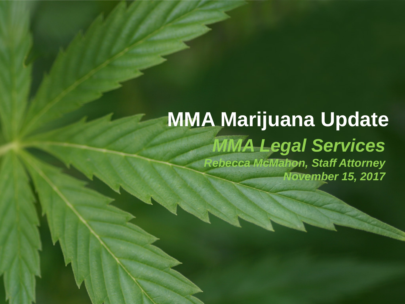#### *MMA Legal Services Rebecca McMahon, Staff Attorney November 15, 2017* **MMA Marijuana Update**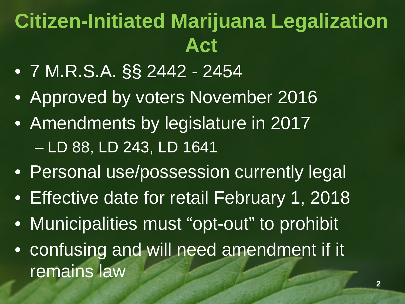# **Citizen-Initiated Marijuana Legalization Act**

- 7 M.R.S.A. §§ 2442 2454
- Approved by voters November 2016
- Amendments by legislature in 2017 – LD 88, LD 243, LD 1641
- Personal use/possession currently legal
- Effective date for retail February 1, 2018
- Municipalities must "opt-out" to prohibit
- confusing and will need amendment if it remains law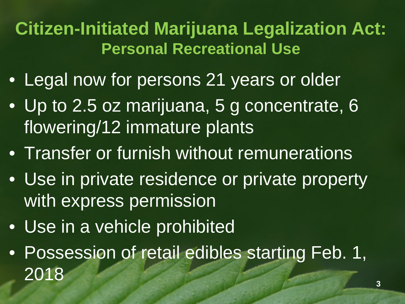## **Citizen-Initiated Marijuana Legalization Act: Personal Recreational Use**

- Legal now for persons 21 years or older
- Up to 2.5 oz marijuana, 5 g concentrate, 6 flowering/12 immature plants
- Transfer or furnish without remunerations
- Use in private residence or private property with express permission
- Use in a vehicle prohibited
- Possession of retail edibles starting Feb. 1, 2018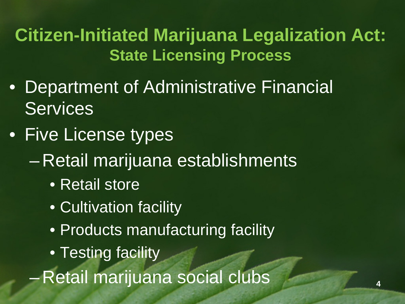### **Citizen-Initiated Marijuana Legalization Act: State Licensing Process**

- Department of Administrative Financial **Services**
- Five License types
	- Retail marijuana establishments
		- Retail store
		- Cultivation facility
		- Products manufacturing facility
		- Testing facility

– Retail marijuana social clubs **<sup>4</sup>**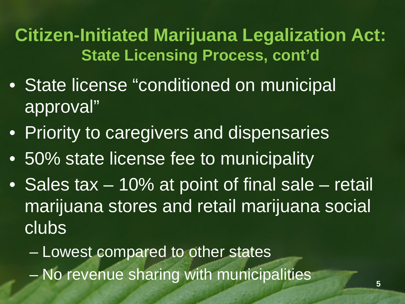**Citizen-Initiated Marijuana Legalization Act: State Licensing Process, cont'd** 

- State license "conditioned on municipal approval"
- Priority to caregivers and dispensaries
- 50% state license fee to municipality
- Sales tax 10% at point of final sale retail marijuana stores and retail marijuana social clubs

– Lowest compared to other states – No revenue sharing with municipalities **5**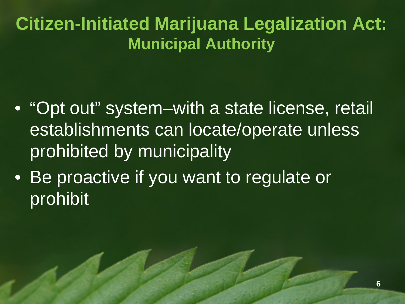### **Citizen-Initiated Marijuana Legalization Act: Municipal Authority**

- "Opt out" system–with a state license, retail establishments can locate/operate unless prohibited by municipality
- Be proactive if you want to regulate or prohibit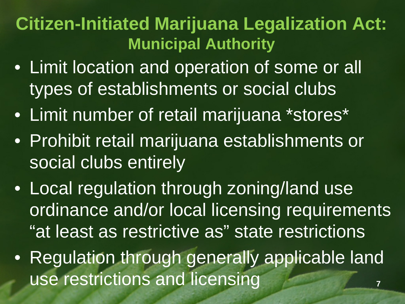### **Citizen-Initiated Marijuana Legalization Act: Municipal Authority**

- Limit location and operation of some or all types of establishments or social clubs
- Limit number of retail marijuana \*stores\*
- Prohibit retail marijuana establishments or social clubs entirely
- Local regulation through zoning/land use ordinance and/or local licensing requirements "at least as restrictive as" state restrictions
- Regulation through generally applicable land use restrictions and licensing **7**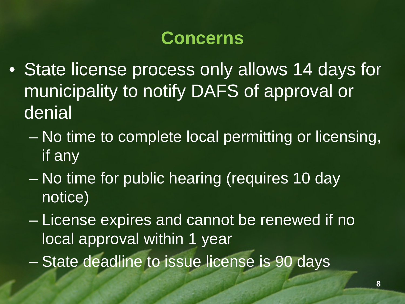### **Concerns**

- State license process only allows 14 days for municipality to notify DAFS of approval or denial
	- No time to complete local permitting or licensing, if any
	- No time for public hearing (requires 10 day notice)
	- License expires and cannot be renewed if no local approval within 1 year
	- State deadline to issue license is 90 days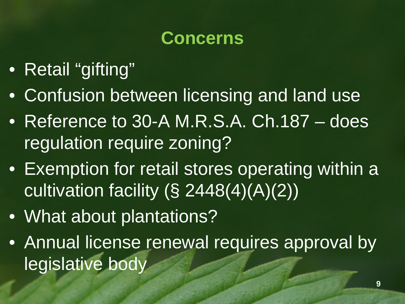## **Concerns**

- Retail "gifting"
- Confusion between licensing and land use
- Reference to 30-A M.R.S.A. Ch.187 does regulation require zoning?
- Exemption for retail stores operating within a cultivation facility  $(S 2448(4)(A)(2))$
- What about plantations?
- Annual license renewal requires approval by legislative body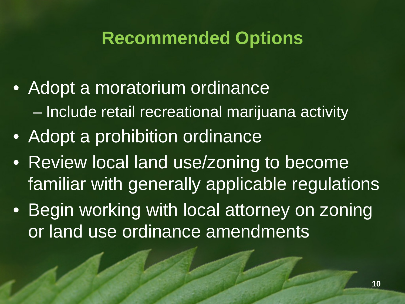## **Recommended Options**

- Adopt a moratorium ordinance – Include retail recreational marijuana activity
- Adopt a prohibition ordinance
- Review local land use/zoning to become familiar with generally applicable regulations
- Begin working with local attorney on zoning or land use ordinance amendments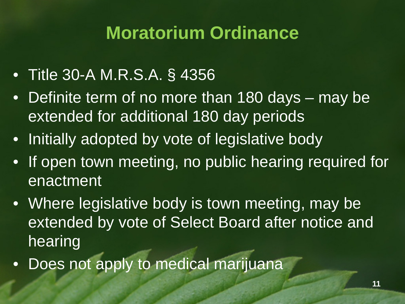## **Moratorium Ordinance**

- Title 30-A M.R.S.A. § 4356
- Definite term of no more than 180 days may be extended for additional 180 day periods
- Initially adopted by vote of legislative body
- If open town meeting, no public hearing required for enactment
- Where legislative body is town meeting, may be extended by vote of Select Board after notice and hearing
- Does not apply to medical marijuana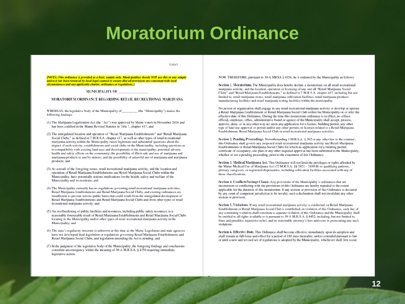#### **Moratorium Ordinance**

7/25/17

[NOTE: This ordinance is provided as a basic sample only. Municipalities should NOT use this or any sample unless it has been reviewed by local legal counsel to ensure that all provisions are consistent with local circumstances and any applicable charter, ordinance or regulations.]

#### **MUNICIPALITY OF**

#### MORATORIUM ORDINANCE REGARDING RETAIL RECREATIONAL MARIJUANA

WHEREAS, the legislative body of the Municipality of (the "Municipality") makes the following findings:

- (1) The Marijuana Legalization Act (the "Act") was approved by Maine voters in November 2016 and has been codified in the Maine Revised Statutes in Title 7, chapter 417; and
- (2) The unregulated location and operation of "Retail Marijuana Establishments" and "Retail Marijuana Social Clubs," as defined in 7 M.R.S.A. chapter 417, as well as other types of retail recreational marijuana activity within the Municipality raises legitimate and substantial questions about the impact of such activity, establishments and social clubs on the Municipality, including questions as to compatibility with existing land uses and developments in the municipality; potential adverse health and safety effects on the community; the possibility of illicit sale and use of marijuana and marijuana products to and by minors; and the possibility of unlawful use of marijuana and marijuana products; and
- (3) As a result of the foregoing issues, retail recreational marijuana activity, and the location and operation of Retail Marijuana Establishments and Retail Marijuana Social Clubs within the Municipality, have potentially serious implications for the health, safety and welfare of the Municipality and its residents; and
- (4) The Municipality currently has no regulations governing retail recreational marijuana activities, Retail Marijuana Establishments and Retail Marijuana Social Clubs, and existing ordinances are insufficient to prevent serious public harm that could result from the unregulated development of Retail Marijuana Establishments and Retail Marijuana Social Clubs and from other types of retail recreational marijuana activity; and
- (5) An overburdening of public facilities and resources, including public safety resources, is a reasonably foreseeable result of Retail Marijuana Establishments and Retail Marijuana Social Clubs locating in the Municipality and/or other types of retail recreational marijuana activity in the Municipality; and
- (6) The state's regulatory structure is unknown at this time as the Maine Legislature and state agencies have not developed final legislation or regulations governing Retail Marijuana Establishments and Retail Marijuana Social Clubs, and legislation amending the Act is pending; and
- (7) In the judgment of the legislative body of the Municipality, the foregoing findings and conclusions constitute an emergency within the meaning of 30-A M.R.S.A. § 4356 requiring immediate legislative action.

NOW THEREFORE, pursuant to 30-A MRSA § 4356, be it ordained by the Municipality as follows:

Section 1. Moratorium. The Municipality does hereby declare a moratorium on all retail recreational marijuana activity, and the location, operation or licensing of any and all "Retail Marijuana Social Clubs" and "Retail Marijuana Establishments," as defined in 7 M.R.S.A. chapter 417, including but not limited to, retail marijuana stores, retail marijuana cultivation facilities, retail marijuana products manufacturing facilities and retail marijuana testing facilities within the municipality.

No person or organization shall engage in any retail recreational marijuana activity or develop or operate a Retail Marijuana Establishment or Retail Marijuana Social Club within the Municipality on or after the effective date of this Ordinance. During the time this moratorium ordinance is in effect, no officer, official, employee, office, administrative board or agency of the Municipality shall accept, process, approve, deny, or in any other way act upon any application for a license, building permit, any other type of land use approval or permit and/or any other permits or licenses related to a Retail Marijuana Establishment, Retail Marijuana Social Club or retail recreational marijuana activities.

Section 2. Pending Proceedings. Notwithstanding 1 M.R.S.A. § 302 or any other law to the contrary, this Ordinance shall govern any proposed retail recreational marijuana activity and Retail Marijuana Establishments or Retail Marijuana Social Clubs for which an application for a building permit, certificate of occupancy, site plan or any other required approval has been submitted to the Municipality, whether or not a pending proceeding, prior to the enactment of this Ordinance.

Section 3. Medical Marijuana Act. This Ordinance will not limit the privileges or rights afforded by the Maine Medical Use of Marijuana Act (22 M.R.S.A. §§ 2421 - 2430-B) to qualifying patients, primary caregivers, or registered dispensaries, including cultivation facilities associated with any of those classifications.

Section 4. Conflicts/Savings Clause. Any provisions of the Municipality's ordinances that are inconsistent or conflicting with the provisions of this Ordinance are hereby repealed to the extent applicable for the duration of this moratorium. If any section or provision of this Ordinance is declared by any court of competent jurisdiction to be invalid, such a declaration shall not invalidate any other section or provision.

Section 5. Violations. If any retail recreational marijuana activity is conducted, or Retail Marijuana Establishment or Retail Marijuana Social Club is established, in violation of this Ordinance, each day of any continuing violation shall constitute a separate violation of this Ordinance and the Municipality shall be entitled to all rights available to it pursuant to 30-A M.R.S.A. § 4452, including, but not limited to, fines and penalties, injunctive relief, and its reasonable attorney's fees and costs in prosecuting any such violations.

Section 6. Effective Date. This Ordinance shall become effective immediately upon its adoption and shall remain in full force and effect for a period of 180 days thereafter, unless extended pursuant to law or until a new and revised set of regulations is adopted by the Municipality, whichever shall first occur.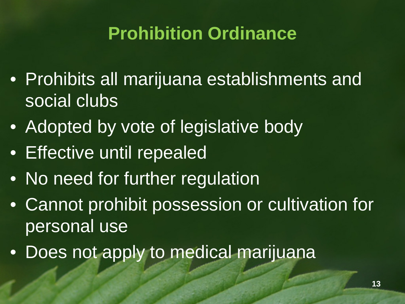## **Prohibition Ordinance**

- Prohibits all marijuana establishments and social clubs
- Adopted by vote of legislative body
- Effective until repealed
- No need for further regulation
- Cannot prohibit possession or cultivation for personal use
- Does not apply to medical marijuana